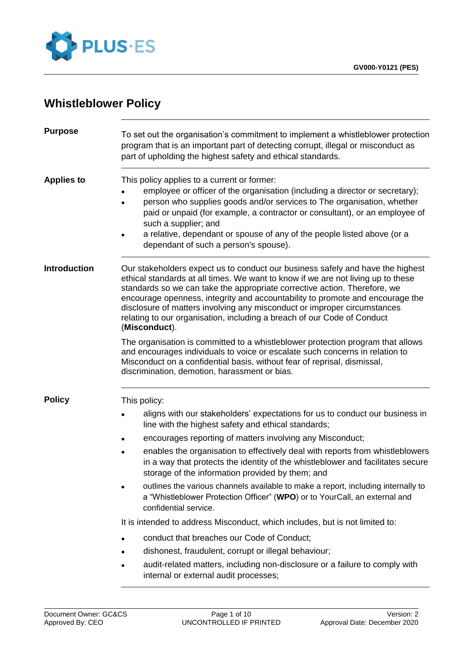

# **Whistleblower Policy**

| To set out the organisation's commitment to implement a whistleblower protection<br>program that is an important part of detecting corrupt, illegal or misconduct as<br>part of upholding the highest safety and ethical standards.                                                                                                                                                                                                                                                                                                                                                                                                                                                                                                                                                                                                                                                                                                                |  |  |
|----------------------------------------------------------------------------------------------------------------------------------------------------------------------------------------------------------------------------------------------------------------------------------------------------------------------------------------------------------------------------------------------------------------------------------------------------------------------------------------------------------------------------------------------------------------------------------------------------------------------------------------------------------------------------------------------------------------------------------------------------------------------------------------------------------------------------------------------------------------------------------------------------------------------------------------------------|--|--|
| This policy applies to a current or former:<br>employee or officer of the organisation (including a director or secretary);<br>person who supplies goods and/or services to The organisation, whether<br>paid or unpaid (for example, a contractor or consultant), or an employee of<br>such a supplier; and<br>a relative, dependant or spouse of any of the people listed above (or a<br>dependant of such a person's spouse).                                                                                                                                                                                                                                                                                                                                                                                                                                                                                                                   |  |  |
| Our stakeholders expect us to conduct our business safely and have the highest<br>ethical standards at all times. We want to know if we are not living up to these<br>standards so we can take the appropriate corrective action. Therefore, we<br>encourage openness, integrity and accountability to promote and encourage the<br>disclosure of matters involving any misconduct or improper circumstances<br>relating to our organisation, including a breach of our Code of Conduct<br>(Misconduct).                                                                                                                                                                                                                                                                                                                                                                                                                                           |  |  |
| The organisation is committed to a whistleblower protection program that allows<br>and encourages individuals to voice or escalate such concerns in relation to<br>Misconduct on a confidential basis, without fear of reprisal, dismissal,<br>discrimination, demotion, harassment or bias.                                                                                                                                                                                                                                                                                                                                                                                                                                                                                                                                                                                                                                                       |  |  |
| This policy:<br>aligns with our stakeholders' expectations for us to conduct our business in<br>line with the highest safety and ethical standards;<br>encourages reporting of matters involving any Misconduct;<br>enables the organisation to effectively deal with reports from whistleblowers<br>in a way that protects the identity of the whistleblower and facilitates secure<br>storage of the information provided by them; and<br>outlines the various channels available to make a report, including internally to<br>a "Whistleblower Protection Officer" (WPO) or to YourCall, an external and<br>confidential service.<br>It is intended to address Misconduct, which includes, but is not limited to:<br>conduct that breaches our Code of Conduct;<br>dishonest, fraudulent, corrupt or illegal behaviour;<br>audit-related matters, including non-disclosure or a failure to comply with<br>internal or external audit processes; |  |  |
|                                                                                                                                                                                                                                                                                                                                                                                                                                                                                                                                                                                                                                                                                                                                                                                                                                                                                                                                                    |  |  |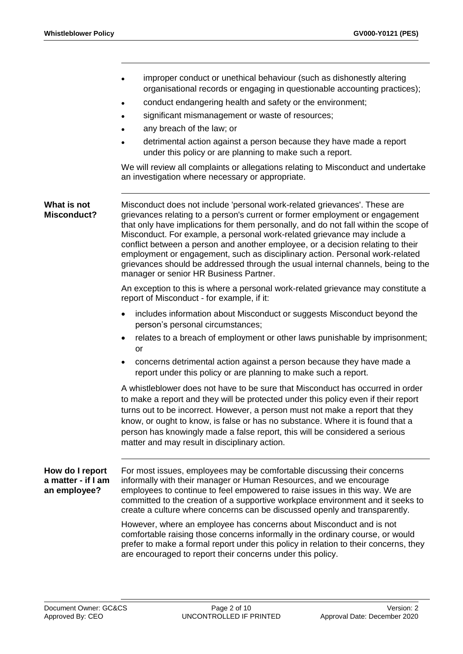improper conduct or unethical behaviour (such as dishonestly altering organisational records or engaging in questionable accounting practices); conduct endangering health and safety or the environment; significant mismanagement or waste of resources; any breach of the law; or detrimental action against a person because they have made a report under this policy or are planning to make such a report. We will review all complaints or allegations relating to Misconduct and undertake an investigation where necessary or appropriate. **What is not Misconduct?** Misconduct does not include 'personal work-related grievances'. These are grievances relating to a person's current or former employment or engagement that only have implications for them personally, and do not fall within the scope of Misconduct. For example, a personal work-related grievance may include a conflict between a person and another employee, or a decision relating to their employment or engagement, such as disciplinary action. Personal work-related grievances should be addressed through the usual internal channels, being to the manager or senior HR Business Partner. An exception to this is where a personal work-related grievance may constitute a report of Misconduct - for example, if it: includes information about Misconduct or suggests Misconduct beyond the person's personal circumstances; relates to a breach of employment or other laws punishable by imprisonment; or concerns detrimental action against a person because they have made a report under this policy or are planning to make such a report. A whistleblower does not have to be sure that Misconduct has occurred in order to make a report and they will be protected under this policy even if their report turns out to be incorrect. However, a person must not make a report that they know, or ought to know, is false or has no substance. Where it is found that a person has knowingly made a false report, this will be considered a serious matter and may result in disciplinary action. **How do I report a matter - if I am an employee?** For most issues, employees may be comfortable discussing their concerns informally with their manager or Human Resources, and we encourage employees to continue to feel empowered to raise issues in this way. We are committed to the creation of a supportive workplace environment and it seeks to create a culture where concerns can be discussed openly and transparently. However, where an employee has concerns about Misconduct and is not comfortable raising those concerns informally in the ordinary course, or would prefer to make a formal report under this policy in relation to their concerns, they are encouraged to report their concerns under this policy.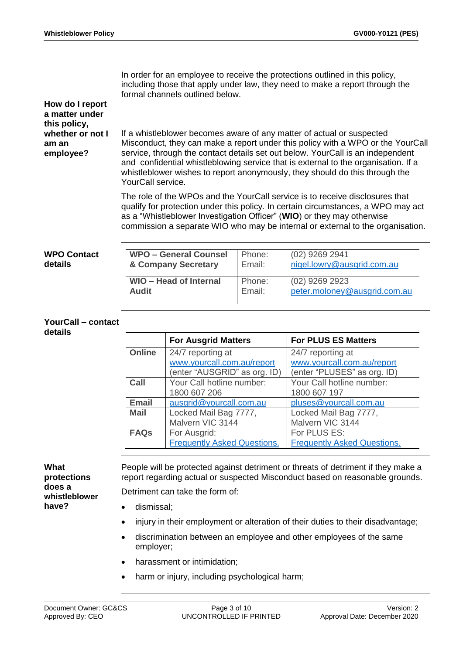In order for an employee to receive the protections outlined in this policy, including those that apply under law, they need to make a report through the formal channels outlined below.

## **How do I report a matter under this policy, whether or not I am an employee?**

If a whistleblower becomes aware of any matter of actual or suspected Misconduct, they can make a report under this policy with a WPO or the YourCall service, through the contact details set out below. YourCall is an independent and confidential whistleblowing service that is external to the organisation. If a whistleblower wishes to report anonymously, they should do this through the YourCall service.

The role of the WPOs and the YourCall service is to receive disclosures that qualify for protection under this policy. In certain circumstances, a WPO may act as a "Whistleblower Investigation Officer" (**WIO**) or they may otherwise commission a separate WIO who may be internal or external to the organisation.

| <b>WPO Contact</b> | <b>WPO - General Counsel</b>  | Phone: | $(02)$ 9269 2941             |
|--------------------|-------------------------------|--------|------------------------------|
| details            | & Company Secretary           | Email: | nigel.lowry@ausgrid.com.au   |
|                    | <b>WIO - Head of Internal</b> | Phone: | $(02)$ 9269 2923             |
|                    | Audit                         | Email: | peter.moloney@ausgrid.com.au |

#### **YourCall – contact details**

|               | <b>For Ausgrid Matters</b>         | <b>For PLUS ES Matters</b>         |
|---------------|------------------------------------|------------------------------------|
| <b>Online</b> | 24/7 reporting at                  | 24/7 reporting at                  |
|               | www.yourcall.com.au/report         | www.yourcall.com.au/report         |
|               | (enter "AUSGRID" as org. ID)       | (enter "PLUSES" as org. ID)        |
| Call          | Your Call hotline number:          | Your Call hotline number:          |
|               | 1800 607 206                       | 1800 607 197                       |
| <b>Email</b>  | ausgrid@yourcall.com.au            | pluses@yourcall.com.au             |
| <b>Mail</b>   | Locked Mail Bag 7777,              | Locked Mail Bag 7777,              |
|               | Malvern VIC 3144                   | Malvern VIC 3144                   |
| <b>FAQs</b>   | For Ausgrid:                       | For PLUS ES:                       |
|               | <b>Frequently Asked Questions.</b> | <b>Frequently Asked Questions.</b> |

## **What**

**protections does a whistleblower have?**

People will be protected against detriment or threats of detriment if they make a report regarding actual or suspected Misconduct based on reasonable grounds. Detriment can take the form of:

dismissal;

- injury in their employment or alteration of their duties to their disadvantage;
- discrimination between an employee and other employees of the same employer;
- harassment or intimidation;
- harm or injury, including psychological harm;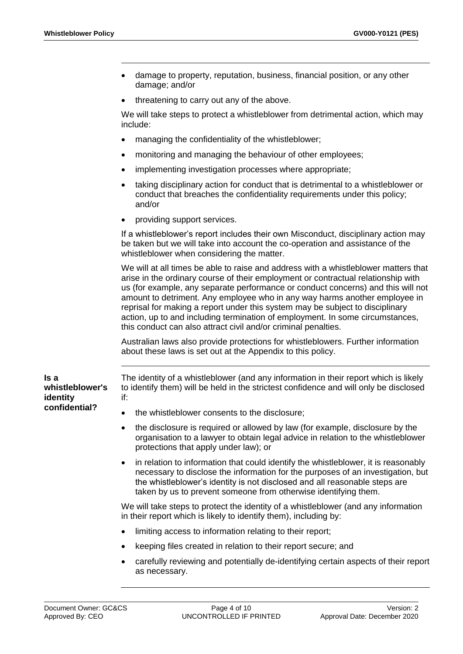- damage to property, reputation, business, financial position, or any other damage; and/or
- threatening to carry out any of the above.

We will take steps to protect a whistleblower from detrimental action, which may include:

- managing the confidentiality of the whistleblower;
- monitoring and managing the behaviour of other employees;
- implementing investigation processes where appropriate;
- taking disciplinary action for conduct that is detrimental to a whistleblower or conduct that breaches the confidentiality requirements under this policy; and/or
- providing support services.

If a whistleblower's report includes their own Misconduct, disciplinary action may be taken but we will take into account the co-operation and assistance of the whistleblower when considering the matter.

We will at all times be able to raise and address with a whistleblower matters that arise in the ordinary course of their employment or contractual relationship with us (for example, any separate performance or conduct concerns) and this will not amount to detriment. Any employee who in any way harms another employee in reprisal for making a report under this system may be subject to disciplinary action, up to and including termination of employment. In some circumstances, this conduct can also attract civil and/or criminal penalties.

Australian laws also provide protections for whistleblowers. Further information about these laws is set out at the Appendix to this policy.

**Is a whistleblower's identity confidential?**

The identity of a whistleblower (and any information in their report which is likely to identify them) will be held in the strictest confidence and will only be disclosed if:

- the whistleblower consents to the disclosure;
- the disclosure is required or allowed by law (for example, disclosure by the organisation to a lawyer to obtain legal advice in relation to the whistleblower protections that apply under law); or
- in relation to information that could identify the whistleblower, it is reasonably necessary to disclose the information for the purposes of an investigation, but the whistleblower's identity is not disclosed and all reasonable steps are taken by us to prevent someone from otherwise identifying them.

We will take steps to protect the identity of a whistleblower (and any information in their report which is likely to identify them), including by:

- limiting access to information relating to their report;
- keeping files created in relation to their report secure; and
- carefully reviewing and potentially de-identifying certain aspects of their report as necessary.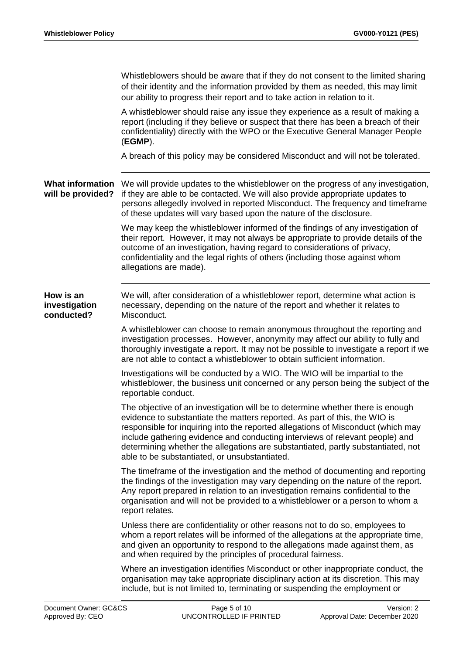|                                              | Whistleblowers should be aware that if they do not consent to the limited sharing<br>of their identity and the information provided by them as needed, this may limit<br>our ability to progress their report and to take action in relation to it.                                                                                                                                                                                                                   |
|----------------------------------------------|-----------------------------------------------------------------------------------------------------------------------------------------------------------------------------------------------------------------------------------------------------------------------------------------------------------------------------------------------------------------------------------------------------------------------------------------------------------------------|
|                                              | A whistleblower should raise any issue they experience as a result of making a<br>report (including if they believe or suspect that there has been a breach of their<br>confidentiality) directly with the WPO or the Executive General Manager People<br>$(EGMP)$ .                                                                                                                                                                                                  |
|                                              | A breach of this policy may be considered Misconduct and will not be tolerated.                                                                                                                                                                                                                                                                                                                                                                                       |
| <b>What information</b><br>will be provided? | We will provide updates to the whistleblower on the progress of any investigation,<br>if they are able to be contacted. We will also provide appropriate updates to<br>persons allegedly involved in reported Misconduct. The frequency and timeframe<br>of these updates will vary based upon the nature of the disclosure.                                                                                                                                          |
|                                              | We may keep the whistleblower informed of the findings of any investigation of<br>their report. However, it may not always be appropriate to provide details of the<br>outcome of an investigation, having regard to considerations of privacy,<br>confidentiality and the legal rights of others (including those against whom<br>allegations are made).                                                                                                             |
| How is an<br>investigation<br>conducted?     | We will, after consideration of a whistleblower report, determine what action is<br>necessary, depending on the nature of the report and whether it relates to<br>Misconduct.                                                                                                                                                                                                                                                                                         |
|                                              | A whistleblower can choose to remain anonymous throughout the reporting and<br>investigation processes. However, anonymity may affect our ability to fully and<br>thoroughly investigate a report. It may not be possible to investigate a report if we<br>are not able to contact a whistleblower to obtain sufficient information.                                                                                                                                  |
|                                              | Investigations will be conducted by a WIO. The WIO will be impartial to the<br>whistleblower, the business unit concerned or any person being the subject of the<br>reportable conduct.                                                                                                                                                                                                                                                                               |
|                                              | The objective of an investigation will be to determine whether there is enough<br>evidence to substantiate the matters reported. As part of this, the WIO is<br>responsible for inquiring into the reported allegations of Misconduct (which may<br>include gathering evidence and conducting interviews of relevant people) and<br>determining whether the allegations are substantiated, partly substantiated, not<br>able to be substantiated, or unsubstantiated. |
|                                              | The timeframe of the investigation and the method of documenting and reporting<br>the findings of the investigation may vary depending on the nature of the report.<br>Any report prepared in relation to an investigation remains confidential to the<br>organisation and will not be provided to a whistleblower or a person to whom a<br>report relates.                                                                                                           |
|                                              | Unless there are confidentiality or other reasons not to do so, employees to<br>whom a report relates will be informed of the allegations at the appropriate time,<br>and given an opportunity to respond to the allegations made against them, as<br>and when required by the principles of procedural fairness.                                                                                                                                                     |
|                                              | Where an investigation identifies Misconduct or other inappropriate conduct, the<br>organisation may take appropriate disciplinary action at its discretion. This may<br>include, but is not limited to, terminating or suspending the employment or                                                                                                                                                                                                                  |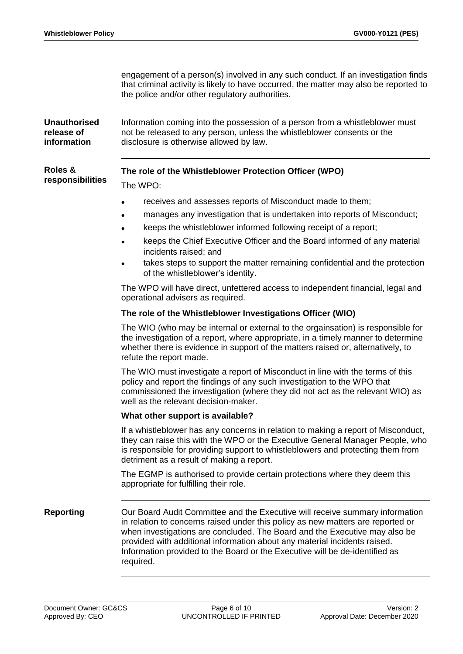engagement of a person(s) involved in any such conduct. If an investigation finds that criminal activity is likely to have occurred, the matter may also be reported to the police and/or other regulatory authorities.

**Unauthorised release of information** Information coming into the possession of a person from a whistleblower must not be released to any person, unless the whistleblower consents or the disclosure is otherwise allowed by law.

## **The role of the Whistleblower Protection Officer (WPO)**

**responsibilities** The WPO:

**Roles &**

## receives and assesses reports of Misconduct made to them;

- manages any investigation that is undertaken into reports of Misconduct;
- keeps the whistleblower informed following receipt of a report;
- keeps the Chief Executive Officer and the Board informed of any material incidents raised; and
- takes steps to support the matter remaining confidential and the protection of the whistleblower's identity.

The WPO will have direct, unfettered access to independent financial, legal and operational advisers as required.

## **The role of the Whistleblower Investigations Officer (WIO)**

The WIO (who may be internal or external to the orgainsation) is responsible for the investigation of a report, where appropriate, in a timely manner to determine whether there is evidence in support of the matters raised or, alternatively, to refute the report made.

The WIO must investigate a report of Misconduct in line with the terms of this policy and report the findings of any such investigation to the WPO that commissioned the investigation (where they did not act as the relevant WIO) as well as the relevant decision-maker.

## **What other support is available?**

If a whistleblower has any concerns in relation to making a report of Misconduct, they can raise this with the WPO or the Executive General Manager People, who is responsible for providing support to whistleblowers and protecting them from detriment as a result of making a report.

The EGMP is authorised to provide certain protections where they deem this appropriate for fulfilling their role.

**Reporting Caragets Cour Board Audit Committee and the Executive will receive summary information** in relation to concerns raised under this policy as new matters are reported or when investigations are concluded. The Board and the Executive may also be provided with additional information about any material incidents raised. Information provided to the Board or the Executive will be de-identified as required.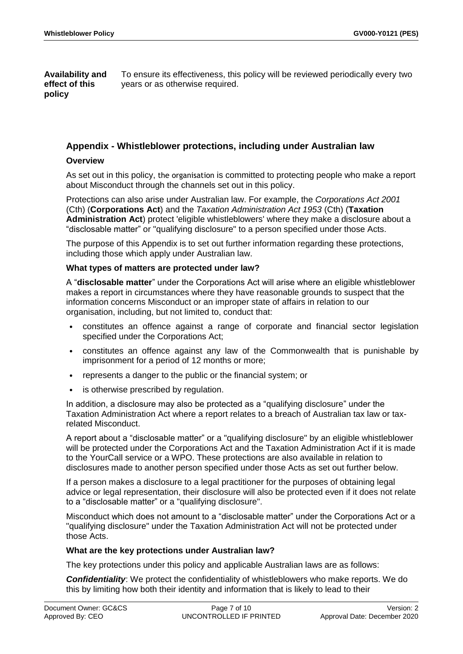**Availability and effect of this policy** To ensure its effectiveness, this policy will be reviewed periodically every two years or as otherwise required.

## **Appendix - Whistleblower protections, including under Australian law**

## **Overview**

As set out in this policy, the organisation is committed to protecting people who make a report about Misconduct through the channels set out in this policy.

Protections can also arise under Australian law. For example, the *Corporations Act 2001*  (Cth) (**Corporations Act**) and the *Taxation Administration Act 1953* (Cth) (**Taxation Administration Act**) protect 'eligible whistleblowers' where they make a disclosure about a "disclosable matter" or "qualifying disclosure" to a person specified under those Acts.

The purpose of this Appendix is to set out further information regarding these protections, including those which apply under Australian law.

## **What types of matters are protected under law?**

A "**disclosable matter**" under the Corporations Act will arise where an eligible whistleblower makes a report in circumstances where they have reasonable grounds to suspect that the information concerns Misconduct or an improper state of affairs in relation to our organisation, including, but not limited to, conduct that:

- constitutes an offence against a range of corporate and financial sector legislation specified under the Corporations Act;
- constitutes an offence against any law of the Commonwealth that is punishable by imprisonment for a period of 12 months or more;
- represents a danger to the public or the financial system; or
- is otherwise prescribed by regulation.

In addition, a disclosure may also be protected as a "qualifying disclosure" under the Taxation Administration Act where a report relates to a breach of Australian tax law or taxrelated Misconduct.

A report about a "disclosable matter" or a "qualifying disclosure" by an eligible whistleblower will be protected under the Corporations Act and the Taxation Administration Act if it is made to the YourCall service or a WPO. These protections are also available in relation to disclosures made to another person specified under those Acts as set out further below.

If a person makes a disclosure to a legal practitioner for the purposes of obtaining legal advice or legal representation, their disclosure will also be protected even if it does not relate to a "disclosable matter" or a "qualifying disclosure".

Misconduct which does not amount to a "disclosable matter" under the Corporations Act or a "qualifying disclosure" under the Taxation Administration Act will not be protected under those Acts.

## **What are the key protections under Australian law?**

The key protections under this policy and applicable Australian laws are as follows:

*Confidentiality*: We protect the confidentiality of whistleblowers who make reports. We do this by limiting how both their identity and information that is likely to lead to their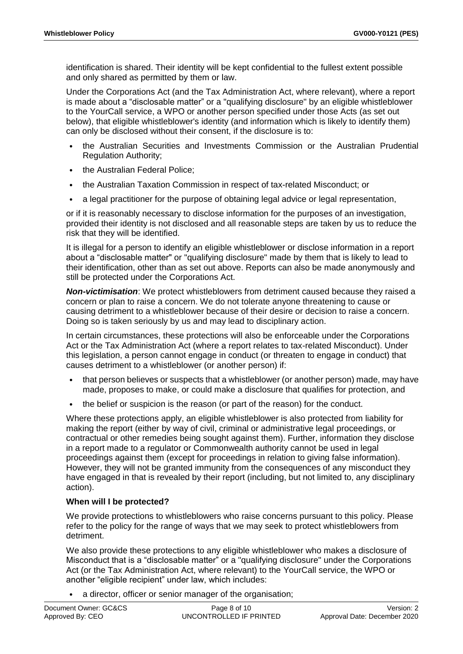identification is shared. Their identity will be kept confidential to the fullest extent possible and only shared as permitted by them or law.

Under the Corporations Act (and the Tax Administration Act, where relevant), where a report is made about a "disclosable matter" or a "qualifying disclosure" by an eligible whistleblower to the YourCall service, a WPO or another person specified under those Acts (as set out below), that eligible whistleblower's identity (and information which is likely to identify them) can only be disclosed without their consent, if the disclosure is to:

- the Australian Securities and Investments Commission or the Australian Prudential Regulation Authority;
- the Australian Federal Police:
- the Australian Taxation Commission in respect of tax-related Misconduct; or
- a legal practitioner for the purpose of obtaining legal advice or legal representation,

or if it is reasonably necessary to disclose information for the purposes of an investigation, provided their identity is not disclosed and all reasonable steps are taken by us to reduce the risk that they will be identified.

It is illegal for a person to identify an eligible whistleblower or disclose information in a report about a "disclosable matter" or "qualifying disclosure" made by them that is likely to lead to their identification, other than as set out above. Reports can also be made anonymously and still be protected under the Corporations Act.

*Non-victimisation*: We protect whistleblowers from detriment caused because they raised a concern or plan to raise a concern. We do not tolerate anyone threatening to cause or causing detriment to a whistleblower because of their desire or decision to raise a concern. Doing so is taken seriously by us and may lead to disciplinary action.

In certain circumstances, these protections will also be enforceable under the Corporations Act or the Tax Administration Act (where a report relates to tax-related Misconduct). Under this legislation, a person cannot engage in conduct (or threaten to engage in conduct) that causes detriment to a whistleblower (or another person) if:

- that person believes or suspects that a whistleblower (or another person) made, may have made, proposes to make, or could make a disclosure that qualifies for protection, and
- the belief or suspicion is the reason (or part of the reason) for the conduct.

Where these protections apply, an eligible whistleblower is also protected from liability for making the report (either by way of civil, criminal or administrative legal proceedings, or contractual or other remedies being sought against them). Further, information they disclose in a report made to a regulator or Commonwealth authority cannot be used in legal proceedings against them (except for proceedings in relation to giving false information). However, they will not be granted immunity from the consequences of any misconduct they have engaged in that is revealed by their report (including, but not limited to, any disciplinary action).

## **When will I be protected?**

We provide protections to whistleblowers who raise concerns pursuant to this policy. Please refer to the policy for the range of ways that we may seek to protect whistleblowers from detriment.

We also provide these protections to any eligible whistleblower who makes a disclosure of Misconduct that is a "disclosable matter" or a "qualifying disclosure" under the Corporations Act (or the Tax Administration Act, where relevant) to the YourCall service, the WPO or another "eligible recipient" under law, which includes:

a director, officer or senior manager of the organisation;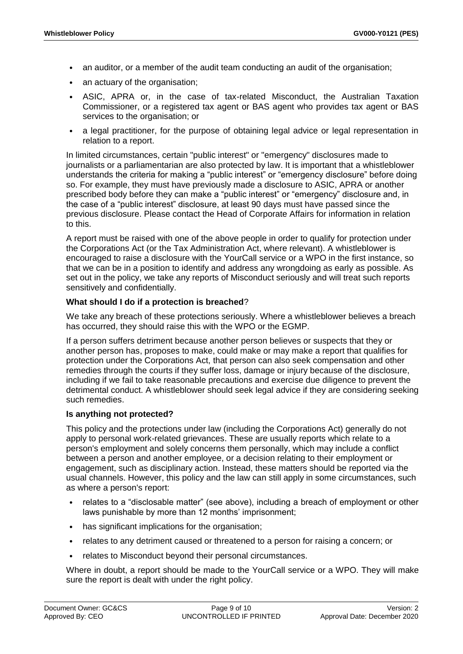- an auditor, or a member of the audit team conducting an audit of the organisation;
- an actuary of the organisation;
- ASIC, APRA or, in the case of tax-related Misconduct, the Australian Taxation Commissioner, or a registered tax agent or BAS agent who provides tax agent or BAS services to the organisation; or
- a legal practitioner, for the purpose of obtaining legal advice or legal representation in relation to a report.

In limited circumstances, certain "public interest" or "emergency" disclosures made to journalists or a parliamentarian are also protected by law. It is important that a whistleblower understands the criteria for making a "public interest" or "emergency disclosure" before doing so. For example, they must have previously made a disclosure to ASIC, APRA or another prescribed body before they can make a "public interest" or "emergency" disclosure and, in the case of a "public interest" disclosure, at least 90 days must have passed since the previous disclosure. Please contact the Head of Corporate Affairs for information in relation to this.

A report must be raised with one of the above people in order to qualify for protection under the Corporations Act (or the Tax Administration Act, where relevant). A whistleblower is encouraged to raise a disclosure with the YourCall service or a WPO in the first instance, so that we can be in a position to identify and address any wrongdoing as early as possible. As set out in the policy, we take any reports of Misconduct seriously and will treat such reports sensitively and confidentially.

## **What should I do if a protection is breached**?

We take any breach of these protections seriously. Where a whistleblower believes a breach has occurred, they should raise this with the WPO or the EGMP.

If a person suffers detriment because another person believes or suspects that they or another person has, proposes to make, could make or may make a report that qualifies for protection under the Corporations Act, that person can also seek compensation and other remedies through the courts if they suffer loss, damage or injury because of the disclosure, including if we fail to take reasonable precautions and exercise due diligence to prevent the detrimental conduct. A whistleblower should seek legal advice if they are considering seeking such remedies.

## **Is anything not protected?**

This policy and the protections under law (including the Corporations Act) generally do not apply to personal work-related grievances. These are usually reports which relate to a person's employment and solely concerns them personally, which may include a conflict between a person and another employee, or a decision relating to their employment or engagement, such as disciplinary action. Instead, these matters should be reported via the usual channels. However, this policy and the law can still apply in some circumstances, such as where a person's report:

- relates to a "disclosable matter" (see above), including a breach of employment or other laws punishable by more than 12 months' imprisonment;
- has significant implications for the organisation;
- relates to any detriment caused or threatened to a person for raising a concern; or
- relates to Misconduct beyond their personal circumstances.

Where in doubt, a report should be made to the YourCall service or a WPO. They will make sure the report is dealt with under the right policy.